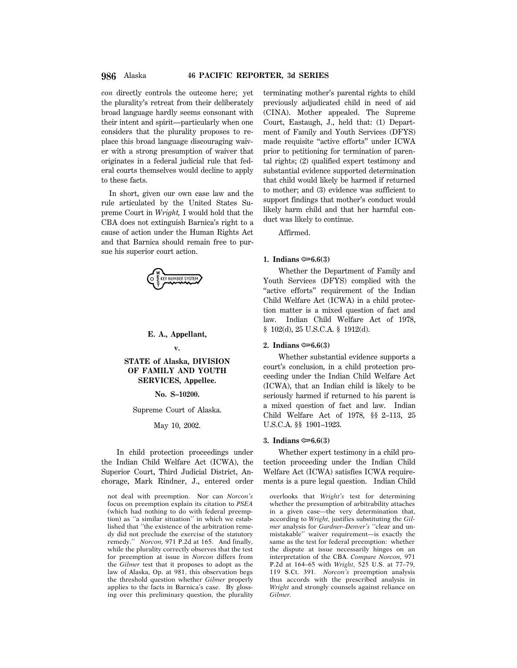# **986** Alaska **46 PACIFIC REPORTER, 3d SERIES**

*con* directly controls the outcome here; yet the plurality's retreat from their deliberately broad language hardly seems consonant with their intent and spirit—particularly when one considers that the plurality proposes to replace this broad language discouraging waiver with a strong presumption of waiver that originates in a federal judicial rule that federal courts themselves would decline to apply to these facts.

In short, given our own case law and the rule articulated by the United States Supreme Court in *Wright,* I would hold that the CBA does not extinguish Barnica's right to a cause of action under the Human Rights Act and that Barnica should remain free to pursue his superior court action.



# **E. A., Appellant,**

### **v.**

# **STATE of Alaska, DIVISION OF FAMILY AND YOUTH SERVICES, Appellee.**

# **No. S–10200.**

### Supreme Court of Alaska.

# May 10, 2002.

In child protection proceedings under the Indian Child Welfare Act (ICWA), the Superior Court, Third Judicial District, Anchorage, Mark Rindner, J., entered order

not deal with preemption. Nor can *Norcon's* focus on preemption explain its citation to *PSEA* (which had nothing to do with federal preemption) as ''a similar situation'' in which we established that ''the existence of the arbitration remedy did not preclude the exercise of the statutory remedy.'' *Norcon,* 971 P.2d at 165. And finally, while the plurality correctly observes that the test for preemption at issue in *Norcon* differs from the *Gilmer* test that it proposes to adopt as the law of Alaska, Op. at 981, this observation begs the threshold question whether *Gilmer* properly applies to the facts in Barnica's case. By glossing over this preliminary question, the plurality terminating mother's parental rights to child previously adjudicated child in need of aid (CINA). Mother appealed. The Supreme Court, Eastaugh, J., held that: (1) Department of Family and Youth Services (DFYS) made requisite "active efforts" under ICWA prior to petitioning for termination of parental rights; (2) qualified expert testimony and substantial evidence supported determination that child would likely be harmed if returned to mother; and (3) evidence was sufficient to support findings that mother's conduct would likely harm child and that her harmful conduct was likely to continue.

Affirmed.

# 1. Indians  $\approx 6.6(3)$

Whether the Department of Family and Youth Services (DFYS) complied with the "active efforts" requirement of the Indian Child Welfare Act (ICWA) in a child protection matter is a mixed question of fact and law. Indian Child Welfare Act of 1978, § 102(d), 25 U.S.C.A. § 1912(d).

# 2. Indians  $\mathfrak{S}6.6(3)$

Whether substantial evidence supports a court's conclusion, in a child protection proceeding under the Indian Child Welfare Act (ICWA), that an Indian child is likely to be seriously harmed if returned to his parent is a mixed question of fact and law. Indian Child Welfare Act of 1978, §§ 2–113, 25 U.S.C.A. §§ 1901–1923.

### **3.** Indians  $\approx 6.6(3)$

Whether expert testimony in a child protection proceeding under the Indian Child Welfare Act (ICWA) satisfies ICWA requirements is a pure legal question. Indian Child

overlooks that *Wright's* test for determining whether the presumption of arbitrability attaches in a given case—the very determination that, according to *Wright,* justifies substituting the *Gilmer* analysis for *Gardner–Denver's* ''clear and unmistakable'' waiver requirement—is exactly the same as the test for federal preemption: whether the dispute at issue necessarily hinges on an interpretation of the CBA. *Compare Norcon,* 971 P.2d at 164–65 with *Wright,* 525 U.S. at 77–79, 119 S.Ct. 391. *Norcon's* preemption analysis thus accords with the prescribed analysis in *Wright* and strongly counsels against reliance on *Gilmer.*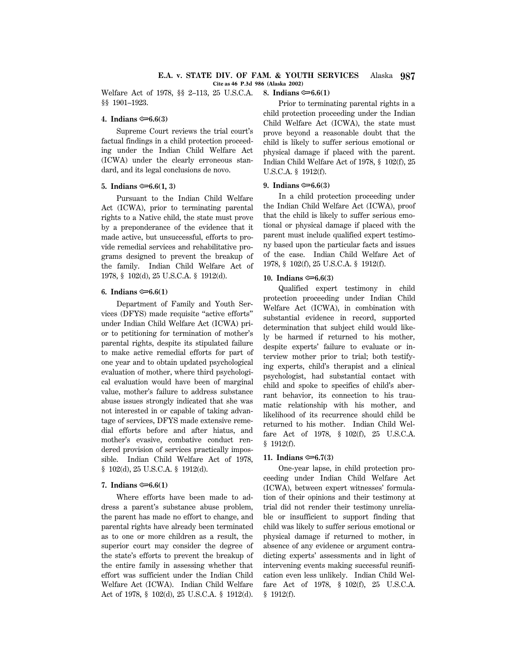Welfare Act of 1978, §§ 2–113, 25 U.S.C.A. §§ 1901–1923. **8. Indians**  $\approx 6.6(1)$ 

# **4. Indians**  $\approx 6.6(3)$

Supreme Court reviews the trial court's factual findings in a child protection proceeding under the Indian Child Welfare Act (ICWA) under the clearly erroneous standard, and its legal conclusions de novo.

### **5.** Indians  $\approx 6.6(1, 3)$

Pursuant to the Indian Child Welfare Act (ICWA), prior to terminating parental rights to a Native child, the state must prove by a preponderance of the evidence that it made active, but unsuccessful, efforts to provide remedial services and rehabilitative programs designed to prevent the breakup of the family. Indian Child Welfare Act of 1978, § 102(d), 25 U.S.C.A. § 1912(d).

# **6.** Indians  $\approx 6.6(1)$

Department of Family and Youth Services (DFYS) made requisite ''active efforts'' under Indian Child Welfare Act (ICWA) prior to petitioning for termination of mother's parental rights, despite its stipulated failure to make active remedial efforts for part of one year and to obtain updated psychological evaluation of mother, where third psychological evaluation would have been of marginal value, mother's failure to address substance abuse issues strongly indicated that she was not interested in or capable of taking advantage of services, DFYS made extensive remedial efforts before and after hiatus, and mother's evasive, combative conduct rendered provision of services practically impossible. Indian Child Welfare Act of 1978, § 102(d), 25 U.S.C.A. § 1912(d).

### **7.** Indians  $\approx 6.6(1)$

Where efforts have been made to address a parent's substance abuse problem, the parent has made no effort to change, and parental rights have already been terminated as to one or more children as a result, the superior court may consider the degree of the state's efforts to prevent the breakup of the entire family in assessing whether that effort was sufficient under the Indian Child Welfare Act (ICWA). Indian Child Welfare Act of 1978, § 102(d), 25 U.S.C.A. § 1912(d).

Prior to terminating parental rights in a child protection proceeding under the Indian Child Welfare Act (ICWA), the state must prove beyond a reasonable doubt that the child is likely to suffer serious emotional or physical damage if placed with the parent. Indian Child Welfare Act of 1978, § 102(f), 25 U.S.C.A. § 1912(f).

# **9.** Indians  $\approx 6.6(3)$

In a child protection proceeding under the Indian Child Welfare Act (ICWA), proof that the child is likely to suffer serious emotional or physical damage if placed with the parent must include qualified expert testimony based upon the particular facts and issues of the case. Indian Child Welfare Act of 1978, § 102(f), 25 U.S.C.A. § 1912(f).

# **10. Indians**  $\mathfrak{S}$ **6.6(3)**

Qualified expert testimony in child protection proceeding under Indian Child Welfare Act (ICWA), in combination with substantial evidence in record, supported determination that subject child would likely be harmed if returned to his mother, despite experts' failure to evaluate or interview mother prior to trial; both testifying experts, child's therapist and a clinical psychologist, had substantial contact with child and spoke to specifics of child's aberrant behavior, its connection to his traumatic relationship with his mother, and likelihood of its recurrence should child be returned to his mother. Indian Child Welfare Act of 1978, § 102(f), 25 U.S.C.A. § 1912(f).

### **11. Indians**  $\approx 6.7(3)$

One-year lapse, in child protection proceeding under Indian Child Welfare Act (ICWA), between expert witnesses' formulation of their opinions and their testimony at trial did not render their testimony unreliable or insufficient to support finding that child was likely to suffer serious emotional or physical damage if returned to mother, in absence of any evidence or argument contradicting experts' assessments and in light of intervening events making successful reunification even less unlikely. Indian Child Welfare Act of 1978, § 102(f), 25 U.S.C.A. § 1912(f).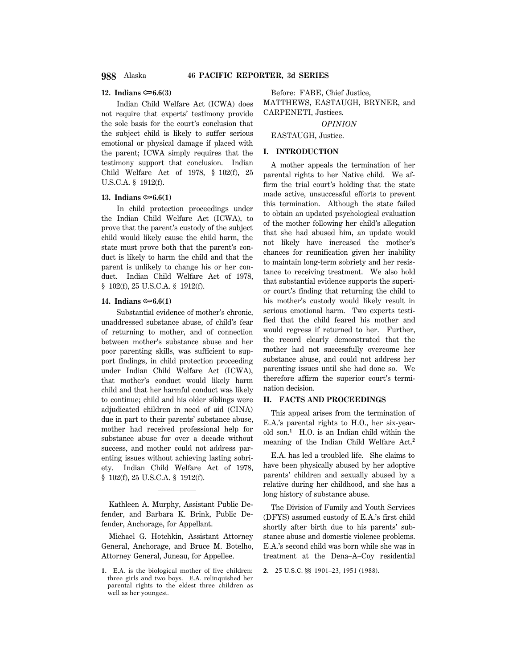### **12. Indians**  $\approx 6.6(3)$

Indian Child Welfare Act (ICWA) does not require that experts' testimony provide the sole basis for the court's conclusion that the subject child is likely to suffer serious emotional or physical damage if placed with the parent; ICWA simply requires that the testimony support that conclusion. Indian Child Welfare Act of 1978, § 102(f), 25 U.S.C.A. § 1912(f).

### **13. Indians**  $\approx 6.6(1)$

In child protection proceedings under the Indian Child Welfare Act (ICWA), to prove that the parent's custody of the subject child would likely cause the child harm, the state must prove both that the parent's conduct is likely to harm the child and that the parent is unlikely to change his or her conduct. Indian Child Welfare Act of 1978, § 102(f), 25 U.S.C.A. § 1912(f).

# **14. Indians ©**6.6(1)

Substantial evidence of mother's chronic, unaddressed substance abuse, of child's fear of returning to mother, and of connection between mother's substance abuse and her poor parenting skills, was sufficient to support findings, in child protection proceeding under Indian Child Welfare Act (ICWA), that mother's conduct would likely harm child and that her harmful conduct was likely to continue; child and his older siblings were adjudicated children in need of aid (CINA) due in part to their parents' substance abuse, mother had received professional help for substance abuse for over a decade without success, and mother could not address parenting issues without achieving lasting sobriety. Indian Child Welfare Act of 1978, § 102(f), 25 U.S.C.A. § 1912(f).

Kathleen A. Murphy, Assistant Public Defender, and Barbara K. Brink, Public Defender, Anchorage, for Appellant.

Michael G. Hotchkin, Assistant Attorney General, Anchorage, and Bruce M. Botelho, Attorney General, Juneau, for Appellee.

Before: FABE, Chief Justice, MATTHEWS, EASTAUGH, BRYNER, and CARPENETI, Justices.

*OPINION*

EASTAUGH, Justice.

# **I. INTRODUCTION**

A mother appeals the termination of her parental rights to her Native child. We affirm the trial court's holding that the state made active, unsuccessful efforts to prevent this termination. Although the state failed to obtain an updated psychological evaluation of the mother following her child's allegation that she had abused him, an update would not likely have increased the mother's chances for reunification given her inability to maintain long-term sobriety and her resistance to receiving treatment. We also hold that substantial evidence supports the superior court's finding that returning the child to his mother's custody would likely result in serious emotional harm. Two experts testified that the child feared his mother and would regress if returned to her. Further, the record clearly demonstrated that the mother had not successfully overcome her substance abuse, and could not address her parenting issues until she had done so. We therefore affirm the superior court's termination decision.

# **II. FACTS AND PROCEEDINGS**

This appeal arises from the termination of E.A.'s parental rights to H.O., her six-yearold son.**<sup>1</sup>** H.O. is an Indian child within the meaning of the Indian Child Welfare Act.**<sup>2</sup>**

E.A. has led a troubled life. She claims to have been physically abused by her adoptive parents' children and sexually abused by a relative during her childhood, and she has a long history of substance abuse.

The Division of Family and Youth Services (DFYS) assumed custody of E.A.'s first child shortly after birth due to his parents' substance abuse and domestic violence problems. E.A.'s second child was born while she was in treatment at the Dena–A–Coy residential

**<sup>1.</sup>** E.A. is the biological mother of five children: three girls and two boys. E.A. relinquished her parental rights to the eldest three children as well as her youngest.

**<sup>2.</sup>** 25 U.S.C. §§ 1901–23, 1951 (1988).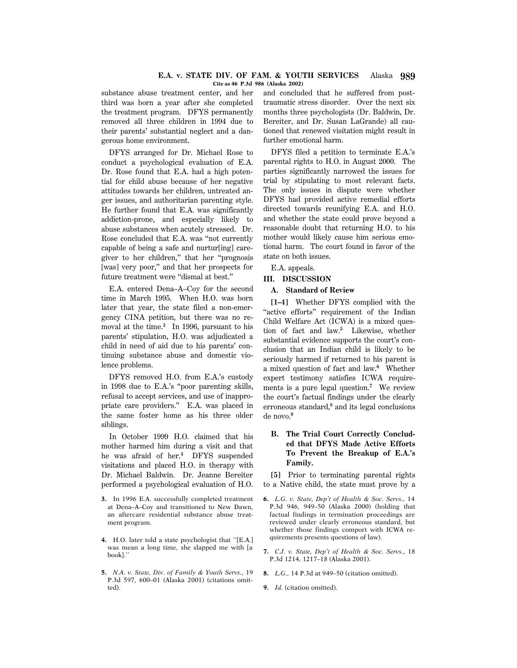### **E.A. v. STATE DIV. OF FAM. & YOUTH SERVICES** Alaska **989 Cite as 46 P.3d 986 (Alaska 2002)**

substance abuse treatment center, and her third was born a year after she completed the treatment program. DFYS permanently removed all three children in 1994 due to their parents' substantial neglect and a dangerous home environment.

DFYS arranged for Dr. Michael Rose to conduct a psychological evaluation of E.A. Dr. Rose found that E.A. had a high potential for child abuse because of her negative attitudes towards her children, untreated anger issues, and authoritarian parenting style. He further found that E.A. was significantly addiction-prone, and especially likely to abuse substances when acutely stressed. Dr. Rose concluded that E.A. was ''not currently capable of being a safe and nurtur[ing] caregiver to her children,'' that her ''prognosis [was] very poor,'' and that her prospects for future treatment were "dismal at best."

E.A. entered Dena–A–Coy for the second time in March 1995. When H.O. was born later that year, the state filed a non-emergency CINA petition, but there was no removal at the time.**<sup>3</sup>** In 1996, pursuant to his parents' stipulation, H.O. was adjudicated a child in need of aid due to his parents' continuing substance abuse and domestic violence problems.

DFYS removed H.O. from E.A.'s custody in 1998 due to E.A.'s ''poor parenting skills, refusal to accept services, and use of inappropriate care providers.'' E.A. was placed in the same foster home as his three older siblings.

In October 1999 H.O. claimed that his mother harmed him during a visit and that he was afraid of her.**<sup>4</sup>** DFYS suspended visitations and placed H.O. in therapy with Dr. Michael Baldwin. Dr. Jeanne Bereiter performed a psychological evaluation of H.O.

- **3.** In 1996 E.A. successfully completed treatment at Dena–A–Coy and transitioned to New Dawn, an aftercare residential substance abuse treatment program.
- **4.** H.O. later told a state psychologist that ''[E.A.] was mean a long time, she slapped me with [a book].''
- **5.** *N.A. v. State, Div. of Family & Youth Servs.,* 19 P.3d 597, 600–01 (Alaska 2001) (citations omitted).

and concluded that he suffered from posttraumatic stress disorder. Over the next six months three psychologists (Dr. Baldwin, Dr. Bereiter, and Dr. Susan LaGrande) all cautioned that renewed visitation might result in further emotional harm.

DFYS filed a petition to terminate E.A.'s parental rights to H.O. in August 2000. The parties significantly narrowed the issues for trial by stipulating to most relevant facts. The only issues in dispute were whether DFYS had provided active remedial efforts directed towards reunifying E.A. and H.O. and whether the state could prove beyond a reasonable doubt that returning H.O. to his mother would likely cause him serious emotional harm. The court found in favor of the state on both issues.

E.A. appeals.

# **III. DISCUSSION**

## **A. Standard of Review**

**[1–4]** Whether DFYS complied with the "active efforts" requirement of the Indian Child Welfare Act (ICWA) is a mixed question of fact and law.**<sup>5</sup>** Likewise, whether substantial evidence supports the court's conclusion that an Indian child is likely to be seriously harmed if returned to his parent is a mixed question of fact and law.**<sup>6</sup>** Whether expert testimony satisfies ICWA requirements is a pure legal question.**<sup>7</sup>** We review the court's factual findings under the clearly erroneous standard,<sup>8</sup> and its legal conclusions de novo.**<sup>9</sup>**

# **B. The Trial Court Correctly Concluded that DFYS Made Active Efforts To Prevent the Breakup of E.A.'s Family.**

**[5]** Prior to terminating parental rights to a Native child, the state must prove by a

- **6.** *L.G. v. State, Dep't of Health & Soc. Servs.,* 14 P.3d 946, 949–50 (Alaska 2000) (holding that factual findings in termination proceedings are reviewed under clearly erroneous standard, but whether those findings comport with ICWA requirements presents questions of law).
- **7.** *C.J. v. State, Dep't of Health & Soc. Servs.,* 18 P.3d 1214, 1217–18 (Alaska 2001).
- **8.** *L.G.,* 14 P.3d at 949–50 (citation omitted).
- **9.** *Id.* (citation omitted).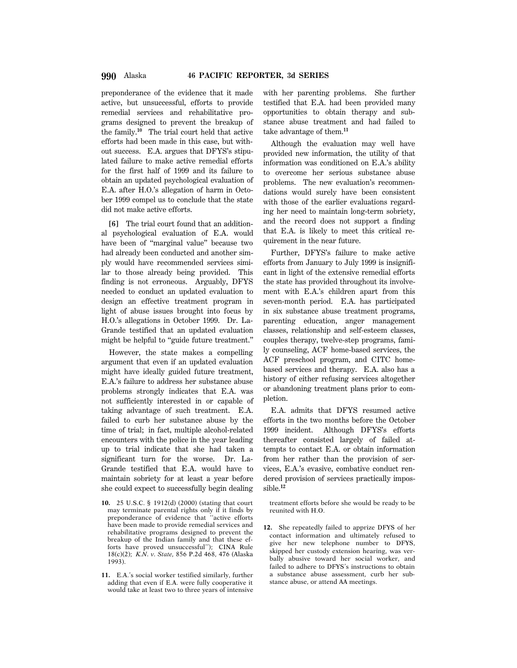preponderance of the evidence that it made active, but unsuccessful, efforts to provide remedial services and rehabilitative programs designed to prevent the breakup of the family.**<sup>10</sup>** The trial court held that active efforts had been made in this case, but without success. E.A. argues that DFYS's stipulated failure to make active remedial efforts for the first half of 1999 and its failure to obtain an updated psychological evaluation of E.A. after H.O.'s allegation of harm in October 1999 compel us to conclude that the state did not make active efforts.

**[6]** The trial court found that an additional psychological evaluation of E.A. would have been of ''marginal value'' because two had already been conducted and another simply would have recommended services similar to those already being provided. This finding is not erroneous. Arguably, DFYS needed to conduct an updated evaluation to design an effective treatment program in light of abuse issues brought into focus by H.O.'s allegations in October 1999. Dr. La-Grande testified that an updated evaluation might be helpful to "guide future treatment."

However, the state makes a compelling argument that even if an updated evaluation might have ideally guided future treatment, E.A.'s failure to address her substance abuse problems strongly indicates that E.A. was not sufficiently interested in or capable of taking advantage of such treatment. E.A. failed to curb her substance abuse by the time of trial; in fact, multiple alcohol-related encounters with the police in the year leading up to trial indicate that she had taken a significant turn for the worse. Dr. La-Grande testified that E.A. would have to maintain sobriety for at least a year before she could expect to successfully begin dealing

- **10.** 25 U.S.C. § 1912(d) (2000) (stating that court may terminate parental rights only if it finds by preponderance of evidence that ''active efforts have been made to provide remedial services and rehabilitative programs designed to prevent the breakup of the Indian family and that these efforts have proved unsuccessful''); CINA Rule 18(c)(2); *K.N. v. State,* 856 P.2d 468, 476 (Alaska 1993).
- **11.** E.A.'s social worker testified similarly, further adding that even if E.A. were fully cooperative it would take at least two to three years of intensive

with her parenting problems. She further testified that E.A. had been provided many opportunities to obtain therapy and substance abuse treatment and had failed to take advantage of them.**<sup>11</sup>**

Although the evaluation may well have provided new information, the utility of that information was conditioned on E.A.'s ability to overcome her serious substance abuse problems. The new evaluation's recommendations would surely have been consistent with those of the earlier evaluations regarding her need to maintain long-term sobriety, and the record does not support a finding that E.A. is likely to meet this critical requirement in the near future.

Further, DFYS's failure to make active efforts from January to July 1999 is insignificant in light of the extensive remedial efforts the state has provided throughout its involvement with E.A.'s children apart from this seven-month period. E.A. has participated in six substance abuse treatment programs, parenting education, anger management classes, relationship and self-esteem classes, couples therapy, twelve-step programs, family counseling, ACF home-based services, the ACF preschool program, and CITC homebased services and therapy. E.A. also has a history of either refusing services altogether or abandoning treatment plans prior to completion.

E.A. admits that DFYS resumed active efforts in the two months before the October 1999 incident. Although DFYS's efforts thereafter consisted largely of failed attempts to contact E.A. or obtain information from her rather than the provision of services, E.A.'s evasive, combative conduct rendered provision of services practically impossible.**<sup>12</sup>**

treatment efforts before she would be ready to be reunited with H.O.

**12.** She repeatedly failed to apprize DFYS of her contact information and ultimately refused to give her new telephone number to DFYS, skipped her custody extension hearing, was verbally abusive toward her social worker, and failed to adhere to DFYS's instructions to obtain a substance abuse assessment, curb her substance abuse, or attend AA meetings.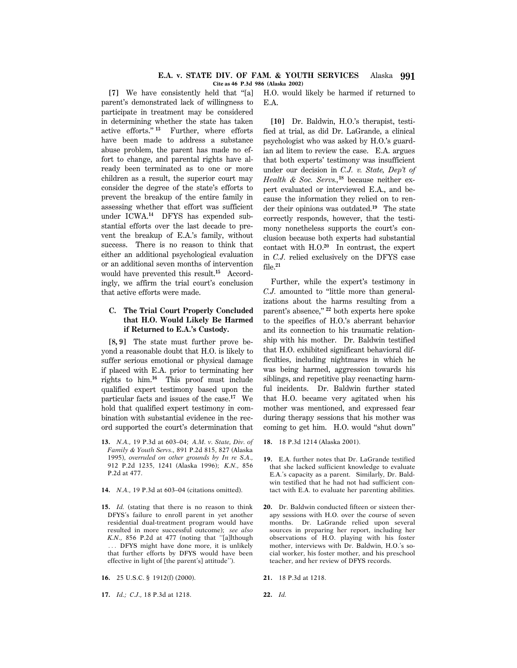# **E.A. v. STATE DIV. OF FAM. & YOUTH SERVICES** Alaska **991 Cite as 46 P.3d 986 (Alaska 2002)**

**[7]** We have consistently held that ''[a] parent's demonstrated lack of willingness to participate in treatment may be considered in determining whether the state has taken active efforts.'' **<sup>13</sup>** Further, where efforts have been made to address a substance abuse problem, the parent has made no effort to change, and parental rights have already been terminated as to one or more children as a result, the superior court may consider the degree of the state's efforts to prevent the breakup of the entire family in assessing whether that effort was sufficient under ICWA.**14** DFYS has expended substantial efforts over the last decade to prevent the breakup of E.A.'s family, without success. There is no reason to think that either an additional psychological evaluation or an additional seven months of intervention would have prevented this result.**15** Accordingly, we affirm the trial court's conclusion that active efforts were made.

# **C. The Trial Court Properly Concluded that H.O. Would Likely Be Harmed if Returned to E.A.'s Custody.**

**[8, 9]** The state must further prove beyond a reasonable doubt that H.O. is likely to suffer serious emotional or physical damage if placed with E.A. prior to terminating her rights to him.**<sup>16</sup>** This proof must include qualified expert testimony based upon the particular facts and issues of the case.**<sup>17</sup>** We hold that qualified expert testimony in combination with substantial evidence in the record supported the court's determination that

- **13.** *N.A.,* 19 P.3d at 603–04; *A.M. v. State, Div. of Family & Youth Servs.,* 891 P.2d 815, 827 (Alaska 1995), *overruled on other grounds by In re S.A.,* 912 P.2d 1235, 1241 (Alaska 1996); *K.N.,* 856 P.2d at 477.
- **14.** *N.A.,* 19 P.3d at 603–04 (citations omitted).
- **15.** *Id.* (stating that there is no reason to think DFYS's failure to enroll parent in yet another residential dual-treatment program would have resulted in more successful outcome); *see also K.N.,* 856 P.2d at 477 (noting that ''[a]lthough ... DFYS might have done more, it is unlikely that further efforts by DFYS would have been effective in light of [the parent's] attitude'').

**16.** 25 U.S.C. § 1912(f) (2000).

**17.** *Id.; C.J.,* 18 P.3d at 1218.

H.O. would likely be harmed if returned to E.A.

**[10]** Dr. Baldwin, H.O.'s therapist, testified at trial, as did Dr. LaGrande, a clinical psychologist who was asked by H.O.'s guardian ad litem to review the case. E.A. argues that both experts' testimony was insufficient under our decision in *C.J. v. State, Dep't of Health & Soc. Servs.,***18** because neither expert evaluated or interviewed E.A., and because the information they relied on to render their opinions was outdated.**<sup>19</sup>** The state correctly responds, however, that the testimony nonetheless supports the court's conclusion because both experts had substantial contact with H.O.**<sup>20</sup>** In contrast, the expert in *C.J.* relied exclusively on the DFYS case file.**<sup>21</sup>**

Further, while the expert's testimony in *C.J.* amounted to ''little more than generalizations about the harms resulting from a parent's absence,'' **<sup>22</sup>** both experts here spoke to the specifics of H.O.'s aberrant behavior and its connection to his traumatic relationship with his mother. Dr. Baldwin testified that H.O. exhibited significant behavioral difficulties, including nightmares in which he was being harmed, aggression towards his siblings, and repetitive play reenacting harmful incidents. Dr. Baldwin further stated that H.O. became very agitated when his mother was mentioned, and expressed fear during therapy sessions that his mother was coming to get him. H.O. would ''shut down''

- **18.** 18 P.3d 1214 (Alaska 2001).
- **19.** E.A. further notes that Dr. LaGrande testified that she lacked sufficient knowledge to evaluate E.A.'s capacity as a parent. Similarly, Dr. Baldwin testified that he had not had sufficient contact with E.A. to evaluate her parenting abilities.
- **20.** Dr. Baldwin conducted fifteen or sixteen therapy sessions with H.O. over the course of seven months. Dr. LaGrande relied upon several sources in preparing her report, including her observations of H.O. playing with his foster mother, interviews with Dr. Baldwin, H.O.'s social worker, his foster mother, and his preschool teacher, and her review of DFYS records.

**21.** 18 P.3d at 1218.

**22.** *Id.*